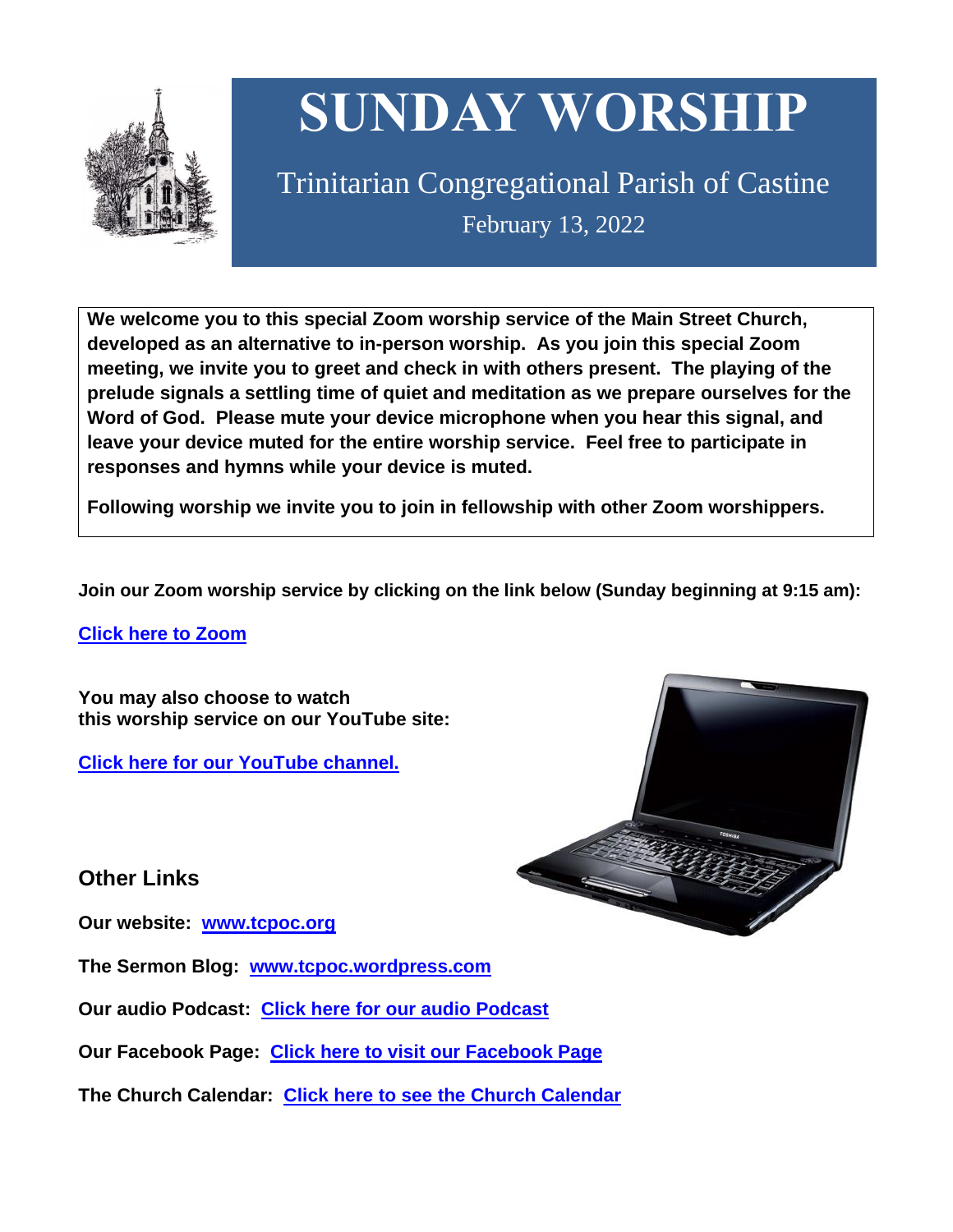

# **SUNDAY WORSHIP**

Trinitarian Congregational Parish of Castine February 13, 2022

**We welcome you to this special Zoom worship service of the Main Street Church, developed as an alternative to in-person worship. As you join this special Zoom meeting, we invite you to greet and check in with others present. The playing of the prelude signals a settling time of quiet and meditation as we prepare ourselves for the Word of God. Please mute your device microphone when you hear this signal, and leave your device muted for the entire worship service. Feel free to participate in responses and hymns while your device is muted.**

**Following worship we invite you to join in fellowship with other Zoom worshippers.**

**Join our Zoom worship service by clicking on the link below (Sunday beginning at 9:15 am):**

**Click here to [Zoom](https://us02web.zoom.us/j/89573448511?pwd=MFRuSFBJR2NWL015RzlyZ1UycmROQT09)**

**You may also choose to watch this worship service on our YouTube site:**

**Click here for our [YouTube](https://www.youtube.com/channel/UC4Bu-O6pN-bdPOqVNg0fBxA) channel.**



**Other Links**

**Our website: [www.tcpoc.org](http://www.tcpoc.org/)**

**The Sermon Blog: [www.tcpoc.wordpress.com](http://www.tcpoc.wordpress.com/)**

**Our audio Podcast: Click here for our audio [Podcast](https://podpoint.com/trinitarian-congregational-parish-of-castine-podcast)**

**Our Facebook Page: Click here to visit our [Facebook](https://www.facebook.com/tcpoc) Page**

**The Church Calendar: Click here to see the Church [Calendar](http://www.tcpoc.org/calendar.html)**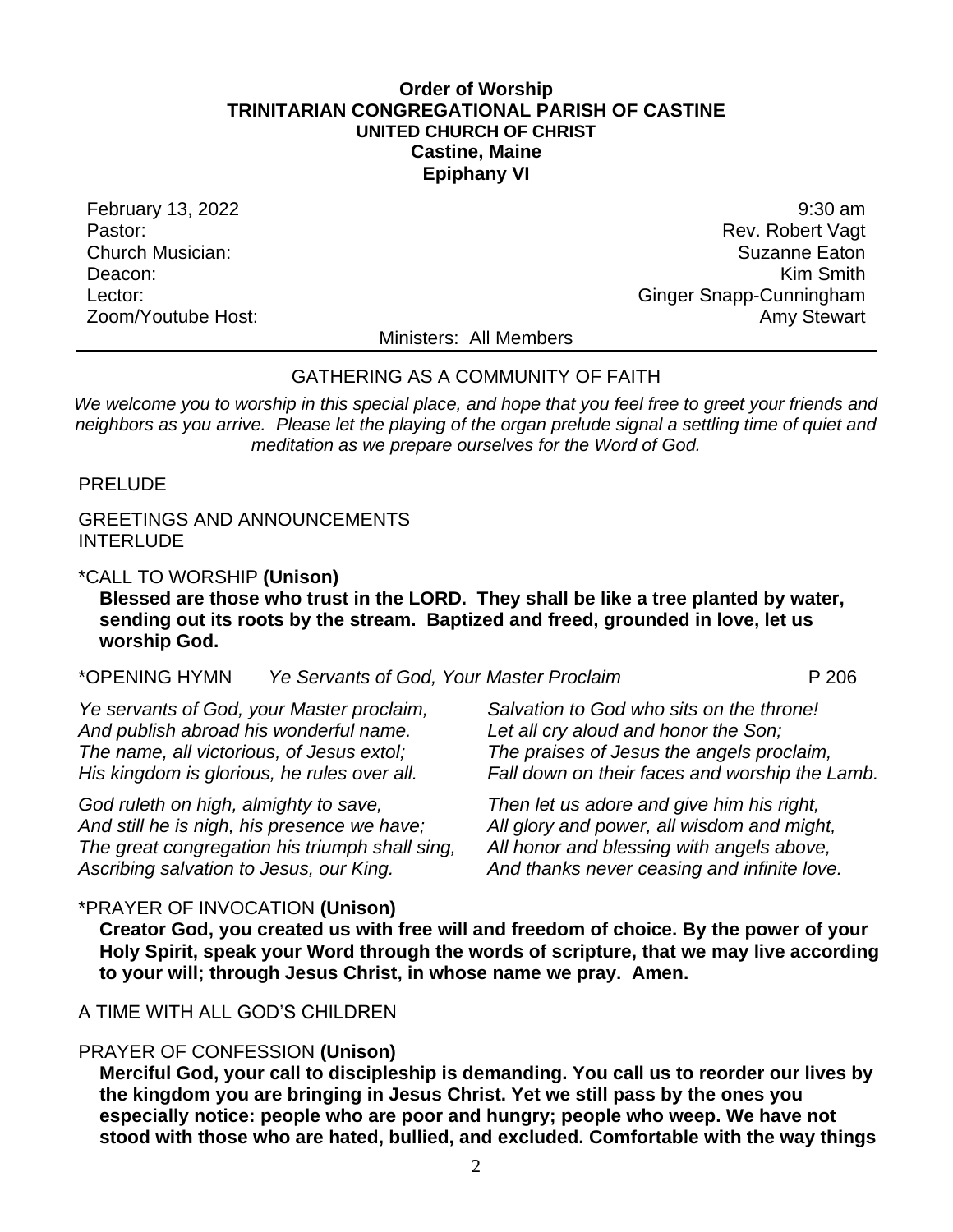### **Order of Worship TRINITARIAN CONGREGATIONAL PARISH OF CASTINE UNITED CHURCH OF CHRIST Castine, Maine Epiphany VI**

February 13, 2022 9:30 am Pastor: Rev. Robert Vagt Church Musician: Suzanne Eaton Deacon: **Kim Smith** Lector: Contract of Contract Contract Contract Contract Contract Contract Contract Contract Contract Contract Contract Contract Contract Contract Contract Contract Contract Contract Contract Contract Contract Contract Cont Zoom/Youtube Host: Amy Stewart New York 2008 and 2008 and 2008 and 2008 and 2008 and 2008 and 2008 and 2008 and 2008 and 2008 and 2008 and 2008 and 2008 and 2008 and 2008 and 2008 and 2008 and 2008 and 2008 and 2008 and 20

Ministers: All Members

### GATHERING AS A COMMUNITY OF FAITH

*We welcome you to worship in this special place, and hope that you feel free to greet your friends and neighbors as you arrive. Please let the playing of the organ prelude signal a settling time of quiet and meditation as we prepare ourselves for the Word of God.*

PRELUDE

GREETINGS AND ANNOUNCEMENTS **INTERLUDE** 

### \*CALL TO WORSHIP **(Unison)**

**Blessed are those who trust in the LORD. They shall be like a tree planted by water, sending out its roots by the stream. Baptized and freed, grounded in love, let us worship God.**

\*OPENING HYMN *Ye Servants of God, Your Master Proclaim* P 206

*Ye servants of God, your Master proclaim, And publish abroad his wonderful name. The name, all victorious, of Jesus extol; His kingdom is glorious, he rules over all.*

*God ruleth on high, almighty to save, And still he is nigh, his presence we have; The great congregation his triumph shall sing, Ascribing salvation to Jesus, our King.*

*Salvation to God who sits on the throne! Let all cry aloud and honor the Son; The praises of Jesus the angels proclaim, Fall down on their faces and worship the Lamb.*

*Then let us adore and give him his right, All glory and power, all wisdom and might, All honor and blessing with angels above, And thanks never ceasing and infinite love.*

### \*PRAYER OF INVOCATION **(Unison)**

**Creator God, you created us with free will and freedom of choice. By the power of your Holy Spirit, speak your Word through the words of scripture, that we may live according to your will; through Jesus Christ, in whose name we pray. Amen.**

# A TIME WITH ALL GOD'S CHILDREN

# PRAYER OF CONFESSION **(Unison)**

**Merciful God, your call to discipleship is demanding. You call us to reorder our lives by the kingdom you are bringing in Jesus Christ. Yet we still pass by the ones you especially notice: people who are poor and hungry; people who weep. We have not stood with those who are hated, bullied, and excluded. Comfortable with the way things**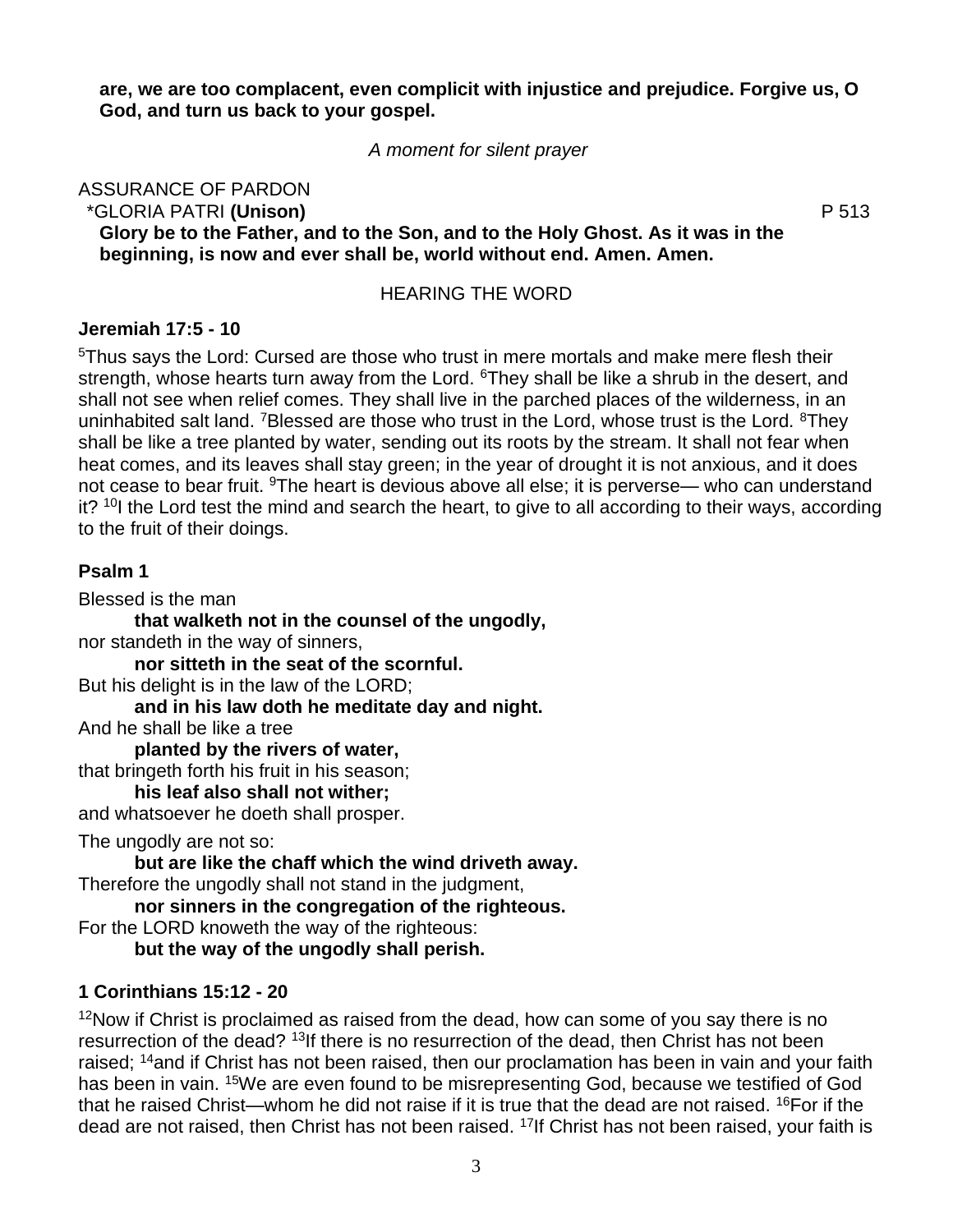**are, we are too complacent, even complicit with injustice and prejudice. Forgive us, O God, and turn us back to your gospel.**

*A moment for silent prayer*

ASSURANCE OF PARDON \*GLORIA PATRI **(Unison)** P 513 **Glory be to the Father, and to the Son, and to the Holy Ghost. As it was in the beginning, is now and ever shall be, world without end. Amen. Amen.**

## HEARING THE WORD

## **Jeremiah 17:5 - 10**

<sup>5</sup>Thus says the Lord: Cursed are those who trust in mere mortals and make mere flesh their strength, whose hearts turn away from the Lord. <sup>6</sup>They shall be like a shrub in the desert, and shall not see when relief comes. They shall live in the parched places of the wilderness, in an uninhabited salt land. <sup>7</sup>Blessed are those who trust in the Lord, whose trust is the Lord. <sup>8</sup>They shall be like a tree planted by water, sending out its roots by the stream. It shall not fear when heat comes, and its leaves shall stay green; in the year of drought it is not anxious, and it does not cease to bear fruit. <sup>9</sup>The heart is devious above all else; it is perverse— who can understand it? <sup>10</sup>I the Lord test the mind and search the heart, to give to all according to their ways, according to the fruit of their doings.

## **Psalm 1**

Blessed is the man

**that walketh not in the counsel of the ungodly,**  nor standeth in the way of sinners, **nor sitteth in the seat of the scornful.** But his delight is in the law of the LORD; **and in his law doth he meditate day and night.** And he shall be like a tree **planted by the rivers of water,**  that bringeth forth his fruit in his season; **his leaf also shall not wither;**  and whatsoever he doeth shall prosper.

The ungodly are not so:

**but are like the chaff which the wind driveth away.** Therefore the ungodly shall not stand in the judgment,

**nor sinners in the congregation of the righteous.**

For the LORD knoweth the way of the righteous:

**but the way of the ungodly shall perish.**

# **1 Corinthians 15:12 - 20**

 $12$ Now if Christ is proclaimed as raised from the dead, how can some of you say there is no resurrection of the dead? <sup>13</sup>If there is no resurrection of the dead, then Christ has not been raised; <sup>14</sup>and if Christ has not been raised, then our proclamation has been in vain and your faith has been in vain. <sup>15</sup>We are even found to be misrepresenting God, because we testified of God that he raised Christ—whom he did not raise if it is true that the dead are not raised. <sup>16</sup>For if the dead are not raised, then Christ has not been raised. <sup>17</sup>If Christ has not been raised, your faith is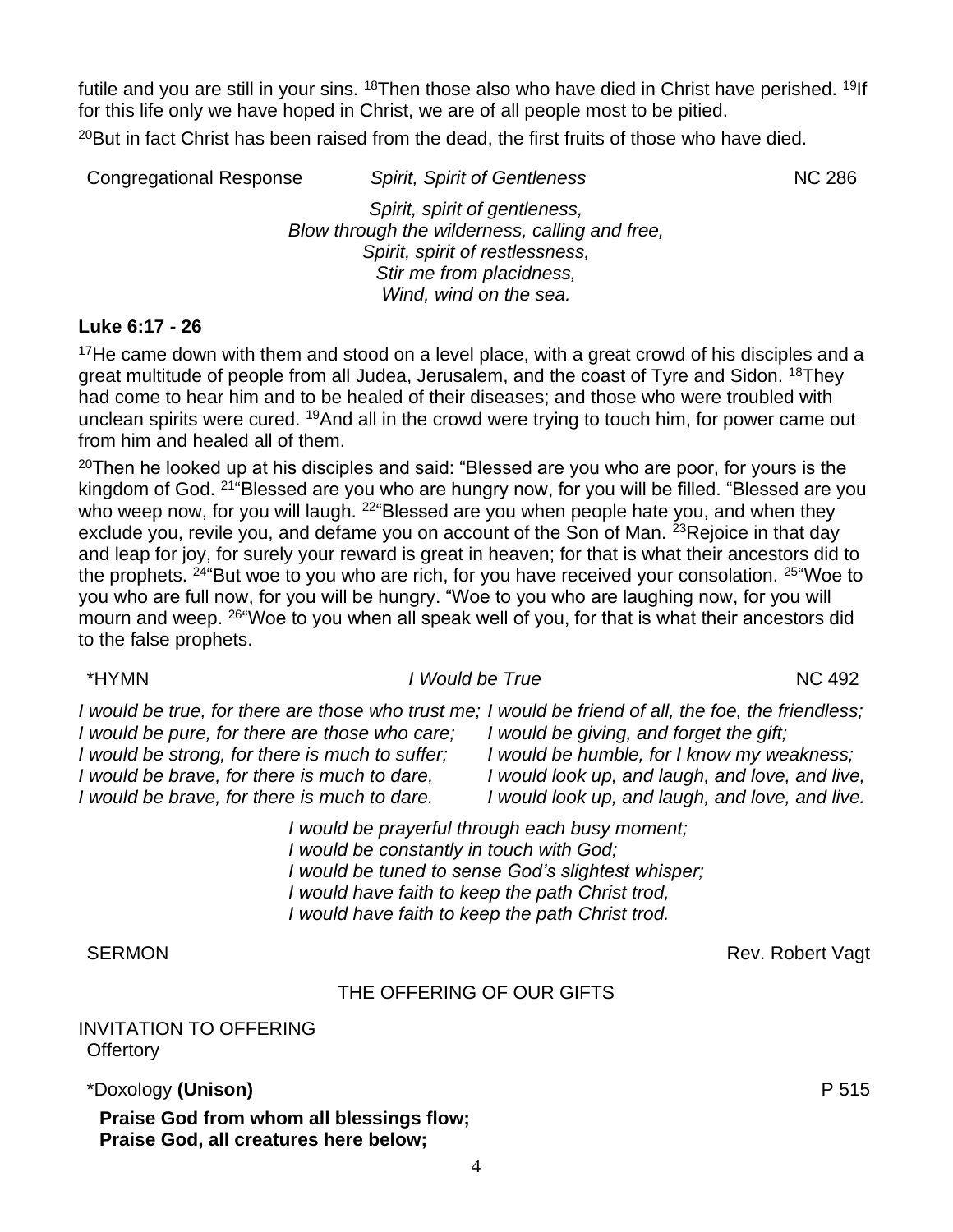futile and you are still in your sins. <sup>18</sup>Then those also who have died in Christ have perished. <sup>19</sup>If for this life only we have hoped in Christ, we are of all people most to be pitied.  $20$ But in fact Christ has been raised from the dead, the first fruits of those who have died.

Congregational Response *Spirit, Spirit of Gentleness* NC 286 *Spirit, spirit of gentleness, Blow through the wilderness, calling and free, Spirit, spirit of restlessness, Stir me from placidness, Wind, wind on the sea.*

### **Luke 6:17 - 26**

 $17$ He came down with them and stood on a level place, with a great crowd of his disciples and a great multitude of people from all Judea, Jerusalem, and the coast of Tyre and Sidon. <sup>18</sup>They had come to hear him and to be healed of their diseases; and those who were troubled with unclean spirits were cured. <sup>19</sup>And all in the crowd were trying to touch him, for power came out from him and healed all of them.

 $20$ Then he looked up at his disciples and said: "Blessed are you who are poor, for yours is the kingdom of God. <sup>21"</sup>Blessed are you who are hungry now, for you will be filled. "Blessed are you who weep now, for you will laugh. <sup>22"</sup>Blessed are you when people hate you, and when they exclude you, revile you, and defame you on account of the Son of Man. <sup>23</sup>Rejoice in that day and leap for joy, for surely your reward is great in heaven; for that is what their ancestors did to the prophets. <sup>24</sup> But woe to you who are rich, for you have received your consolation. <sup>25</sup> Woe to you who are full now, for you will be hungry. "Woe to you who are laughing now, for you will mourn and weep. <sup>26"</sup>Woe to you when all speak well of you, for that is what their ancestors did to the false prophets.

### \*HYMN *I Would be True* NC 492

I would be true, for there are those who trust me; I would be friend of all, the foe, the friendless; *I would be giving, and forget the gift; I would be humble, for I know my weakness;*

*I would look up, and laugh, and love, and live, I would look up, and laugh, and love, and live.*

*I would be prayerful through each busy moment; I would be constantly in touch with God; I would be tuned to sense God's slightest whisper; I would have faith to keep the path Christ trod, I would have faith to keep the path Christ trod.*

### THE OFFERING OF OUR GIFTS

INVITATION TO OFFERING **Offertory** 

\*Doxology **(Unison)** P 515

**Praise God from whom all blessings flow; Praise God, all creatures here below;**

*I would be pure, for there are those who care; I would be strong, for there is much to suffer; I would be brave, for there is much to dare, I would be brave, for there is much to dare.*

SERMON Rev. Robert Vagt